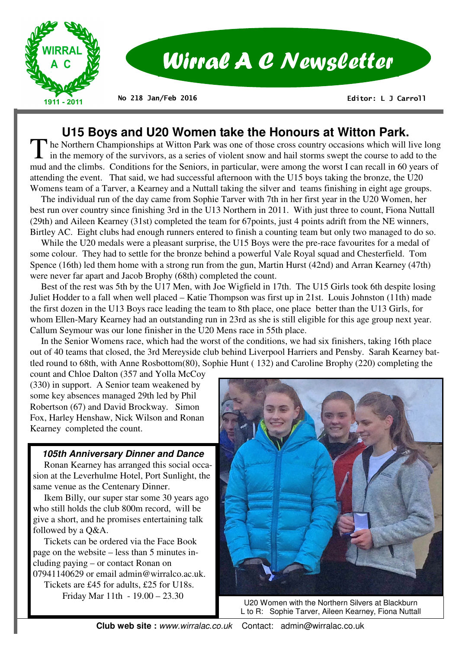

# **U15 Boys and U20 Women take the Honours at Witton Park.**

The Northern Championships at Witton Park was one of those cross country occasions which will live long  $\mathsf L$  in the memory of the survivors, as a series of violent snow and hail storms swept the course to add to the mud and the climbs. Conditions for the Seniors, in particular, were among the worst I can recall in 60 years of attending the event. That said, we had successful afternoon with the U15 boys taking the bronze, the U20 Womens team of a Tarver, a Kearney and a Nuttall taking the silver and teams finishing in eight age groups.

 The individual run of the day came from Sophie Tarver with 7th in her first year in the U20 Women, her best run over country since finishing 3rd in the U13 Northern in 2011. With just three to count, Fiona Nuttall (29th) and Aileen Kearney (31st) completed the team for 67points, just 4 points adrift from the NE winners, Birtley AC. Eight clubs had enough runners entered to finish a counting team but only two managed to do so.

 While the U20 medals were a pleasant surprise, the U15 Boys were the pre-race favourites for a medal of some colour. They had to settle for the bronze behind a powerful Vale Royal squad and Chesterfield. Tom Spence (16th) led them home with a strong run from the gun, Martin Hurst (42nd) and Arran Kearney (47th) were never far apart and Jacob Brophy (68th) completed the count.

 Best of the rest was 5th by the U17 Men, with Joe Wigfield in 17th. The U15 Girls took 6th despite losing Juliet Hodder to a fall when well placed – Katie Thompson was first up in 21st. Louis Johnston (11th) made the first dozen in the U13 Boys race leading the team to 8th place, one place better than the U13 Girls, for whom Ellen-Mary Kearney had an outstanding run in 23rd as she is still eligible for this age group next year. Callum Seymour was our lone finisher in the U20 Mens race in 55th place.

 In the Senior Womens race, which had the worst of the conditions, we had six finishers, taking 16th place out of 40 teams that closed, the 3rd Mereyside club behind Liverpool Harriers and Pensby. Sarah Kearney battled round to 68th, with Anne Rosbottom(80), Sophie Hunt ( 132) and Caroline Brophy (220) completing the

count and Chloe Dalton (357 and Yolla McCoy (330) in support. A Senior team weakened by some key absences managed 29th led by Phil Robertson (67) and David Brockway. Simon Fox, Harley Henshaw, Nick Wilson and Ronan Kearney completed the count.

#### **105th Anniversary Dinner and Dance**

 Ronan Kearney has arranged this social occasion at the Leverhulme Hotel, Port Sunlight, the same venue as the Centenary Dinner.

 Ikem Billy, our super star some 30 years ago who still holds the club 800m record, will be give a short, and he promises entertaining talk followed by a Q&A.

 Tickets can be ordered via the Face Book page on the website – less than 5 minutes including paying – or contact Ronan on 07941140629 or email admin@wirralco.ac.uk. Tickets are £45 for adults, £25 for U18s. Friday Mar 11th - 19.00 – 23.30



U20 Women with the Northern Silvers at Blackburn L to R: Sophie Tarver, Aileen Kearney, Fiona Nuttall